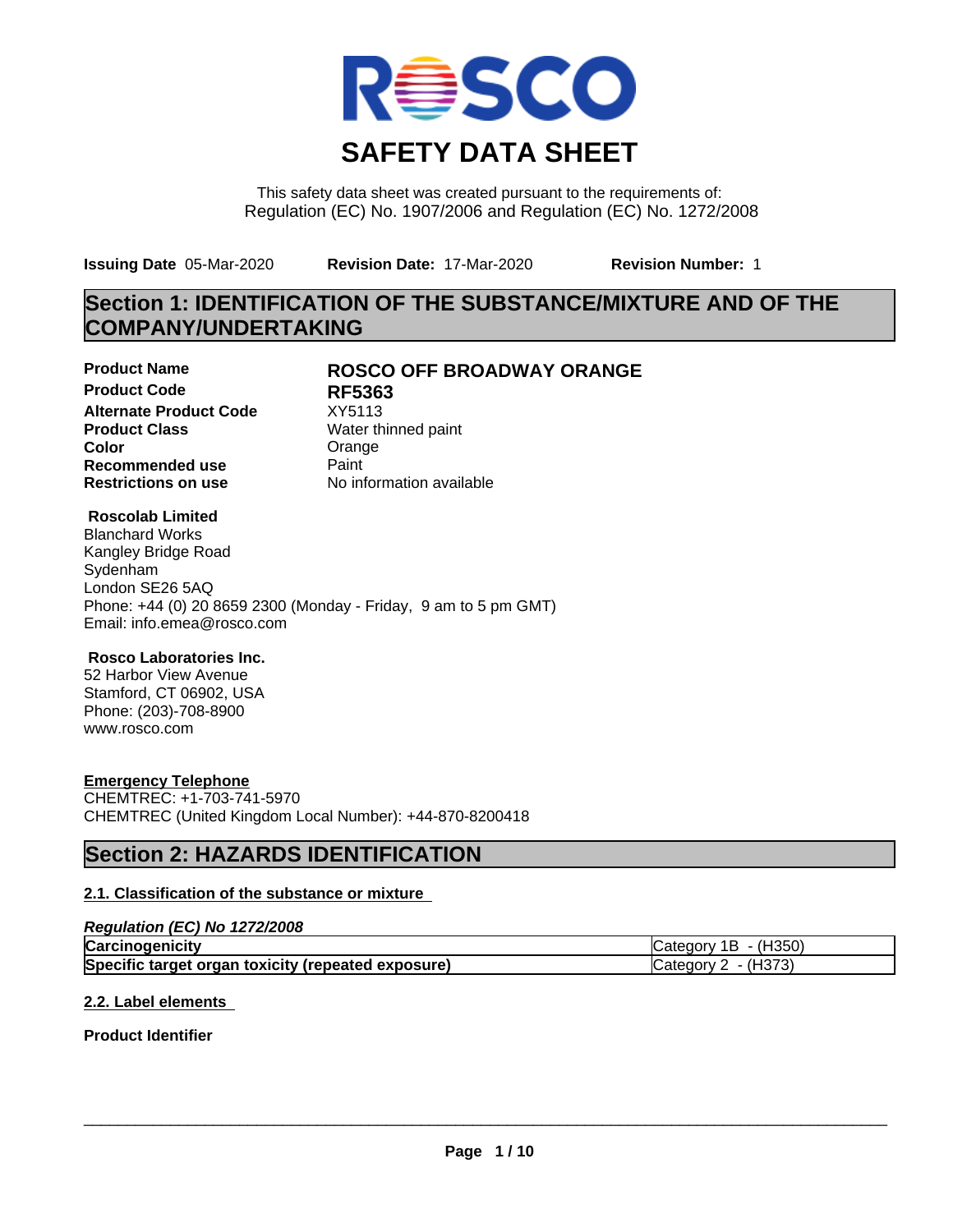

This safety data sheet was created pursuant to the requirements of: Regulation (EC) No. 1907/2006 and Regulation (EC) No. 1272/2008

**Issuing Date** 05-Mar-2020 **Revision Date:** 17-Mar-2020 **Revision Number:** 1

# **Section 1: IDENTIFICATION OF THE SUBSTANCE/MIXTURE AND OF THE COMPANY/UNDERTAKING**

**Product Code RF5363 Alternate Product Code** XY5113<br> **Product Class** Water th **Color** Color Color Color Color Color Color Color Color Color Color Color Color Color Color Color Color Color Color **Recommended use** Paint<br> **Restrictions on use** Mo information available **Restrictions on use** 

## **Product Name ROSCO OFF BROADWAY ORANGE**

**Water thinned paint** 

## **Roscolab Limited**

Blanchard Works Kangley Bridge Road Sydenham London SE26 5AQ Phone: +44 (0) 20 8659 2300 (Monday - Friday, 9 am to 5 pm GMT) Email: info.emea@rosco.com

## **Rosco Laboratories Inc.**

52 Harbor View Avenue Stamford, CT 06902, USA Phone: (203)-708-8900 www.rosco.com

## **Emergency Telephone**

CHEMTREC: +1-703-741-5970 CHEMTREC (United Kingdom Local Number): +44-870-8200418

# **Section 2: HAZARDS IDENTIFICATION**

## **2.1. Classification of the substance or mixture**

## *Regulation (EC) No 1272/2008*

| Carcinogenicity                                    | $\cdot$ (H350)<br>1 B<br><b>ICategory</b> |
|----------------------------------------------------|-------------------------------------------|
| Specific target organ toxicity (repeated exposure) | . <i>เ</i> нวรว<br>∵ategory س             |

## **2.2. Label elements**

## **Product Identifier**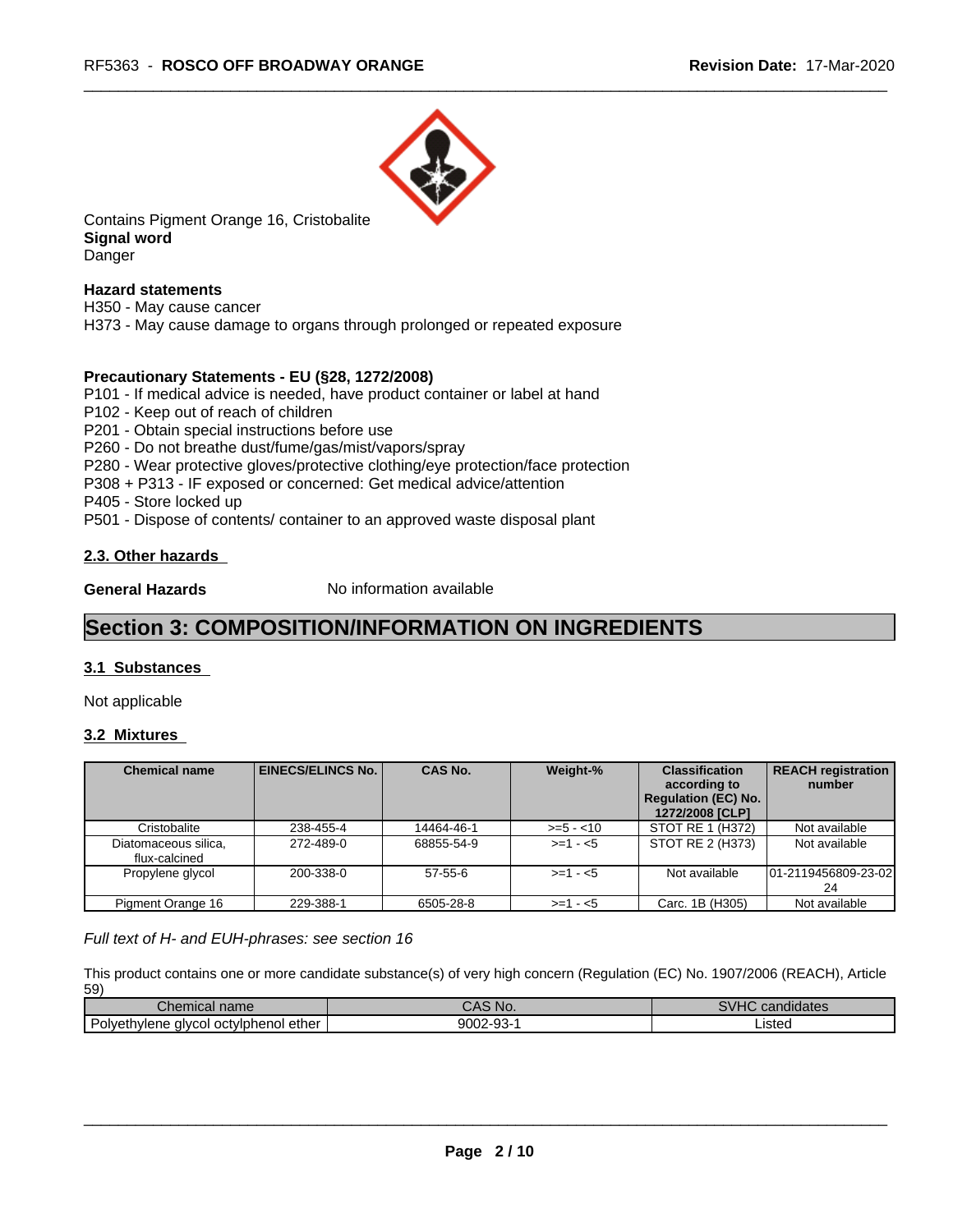

Contains Pigment Orange 16, Cristobalite **Signal word** Danger

## **Hazard statements**

H350 - May cause cancer H373 - May cause damage to organs through prolonged or repeated exposure

## **Precautionary Statements - EU (§28, 1272/2008)**

P101 - If medical advice is needed, have product container or label at hand

P102 - Keep out of reach of children

P201 - Obtain special instructions before use

P260 - Do not breathe dust/fume/gas/mist/vapors/spray

P280 - Wear protective gloves/protective clothing/eye protection/face protection

P308 + P313 - IF exposed or concerned: Get medical advice/attention

P405 - Store locked up

P501 - Dispose of contents/ container to an approved waste disposal plant

## **2.3. Other hazards**

**General Hazards** No information available

# **Section 3: COMPOSITION/INFORMATION ON INGREDIENTS**

## **3.1 Substances**

Not applicable

## **3.2 Mixtures**

| <b>Chemical name</b>                  | <b>EINECS/ELINCS No. I</b> | <b>CAS No.</b> | Weight-%    | <b>Classification</b><br>according to<br><b>Regulation (EC) No.</b><br>1272/2008 [CLP] | <b>REACH registration</b><br>number |
|---------------------------------------|----------------------------|----------------|-------------|----------------------------------------------------------------------------------------|-------------------------------------|
| Cristobalite                          | 238-455-4                  | 14464-46-1     | $>= 5 - 10$ | STOT RE 1 (H372)                                                                       | Not available                       |
| Diatomaceous silica,<br>flux-calcined | 272-489-0                  | 68855-54-9     | $>= 1 - 5$  | STOT RE 2 (H373)                                                                       | Not available                       |
| Propylene glycol                      | 200-338-0                  | $57-55-6$      | $>= 1 - 5$  | Not available                                                                          | 01-2119456809-23-02<br>24           |
| Pigment Orange 16                     | 229-388-1                  | 6505-28-8      | $>=1 - 5$   | Carc. 1B (H305)                                                                        | Not available                       |

*Full text of H- and EUH-phrases: see section 16*

This product contains one or more candidate substance(s) of very high concern (Regulation (EC) No. 1907/2006 (REACH), Article 59)

| $\sim$<br>name<br>Chemical                                | 'No.<br>ノハー             | $\cdots$<br>. .<br>candidates |
|-----------------------------------------------------------|-------------------------|-------------------------------|
| -<br>. ether<br>octviphenol<br>Polvethylene<br>, alvcol : | 9002-9 $^{\circ}$<br>-- | Listed                        |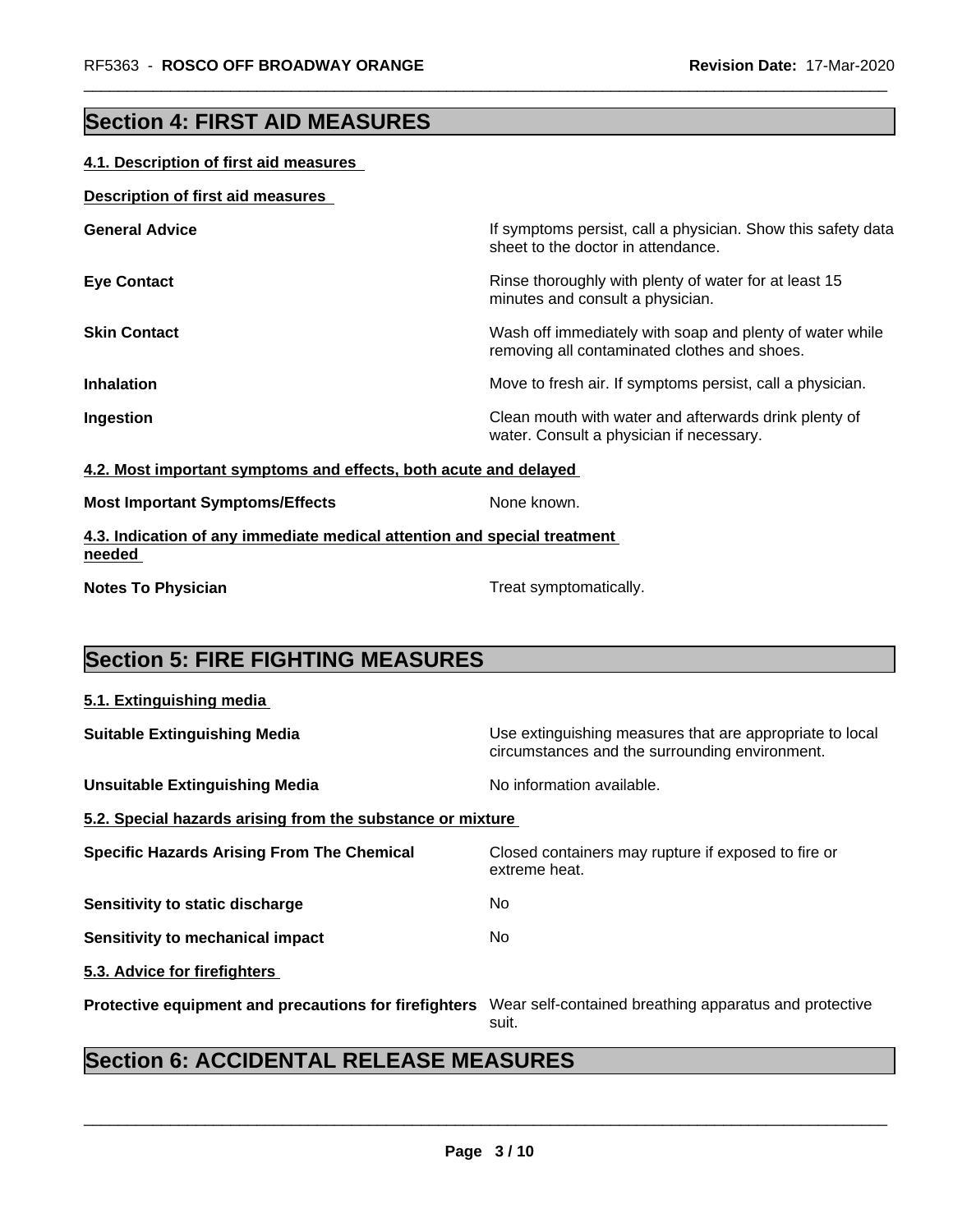# **Section 4: FIRST AID MEASURES**

## **4.1. Description of first aid measures**

## **Description of first aid measures**

| <b>General Advice</b> | If symptoms persist, call a physician. Show this safety data<br>sheet to the doctor in attendance.       |
|-----------------------|----------------------------------------------------------------------------------------------------------|
| <b>Eye Contact</b>    | Rinse thoroughly with plenty of water for at least 15<br>minutes and consult a physician.                |
| <b>Skin Contact</b>   | Wash off immediately with soap and plenty of water while<br>removing all contaminated clothes and shoes. |
| <b>Inhalation</b>     | Move to fresh air. If symptoms persist, call a physician.                                                |
| Ingestion             | Clean mouth with water and afterwards drink plenty of<br>water. Consult a physician if necessary.        |

## **4.2. Most important symptoms and effects, both acute and delayed**

|  | <b>Most Important Symptoms/Effects</b> |
|--|----------------------------------------|
|  |                                        |

**None known.** 

## **4.3. Indication of any immediate medical attention and special treatment needed**

**Notes To Physician Treat symptomatically.** 

# **Section 5: FIRE FIGHTING MEASURES**

# **5.1. Extinguishing media Suitable Extinguishing Media** Media Use extinguishing measures that are appropriate to local circumstances and the surrounding environment. **Unsuitable Extinguishing Media** Noinformation available. **5.2. Special hazards arising from the substance or mixture Specific Hazards Arising From The Chemical Closed containers may rupture if exposed to fire or** extreme heat. **Sensitivity to static discharge** No **Sensitivity to mechanical impact** No **5.3. Advice for firefighters Protective equipment and precautions for firefighters** Wear self-contained breathing apparatus and protective suit.

# **Section 6: ACCIDENTAL RELEASE MEASURES**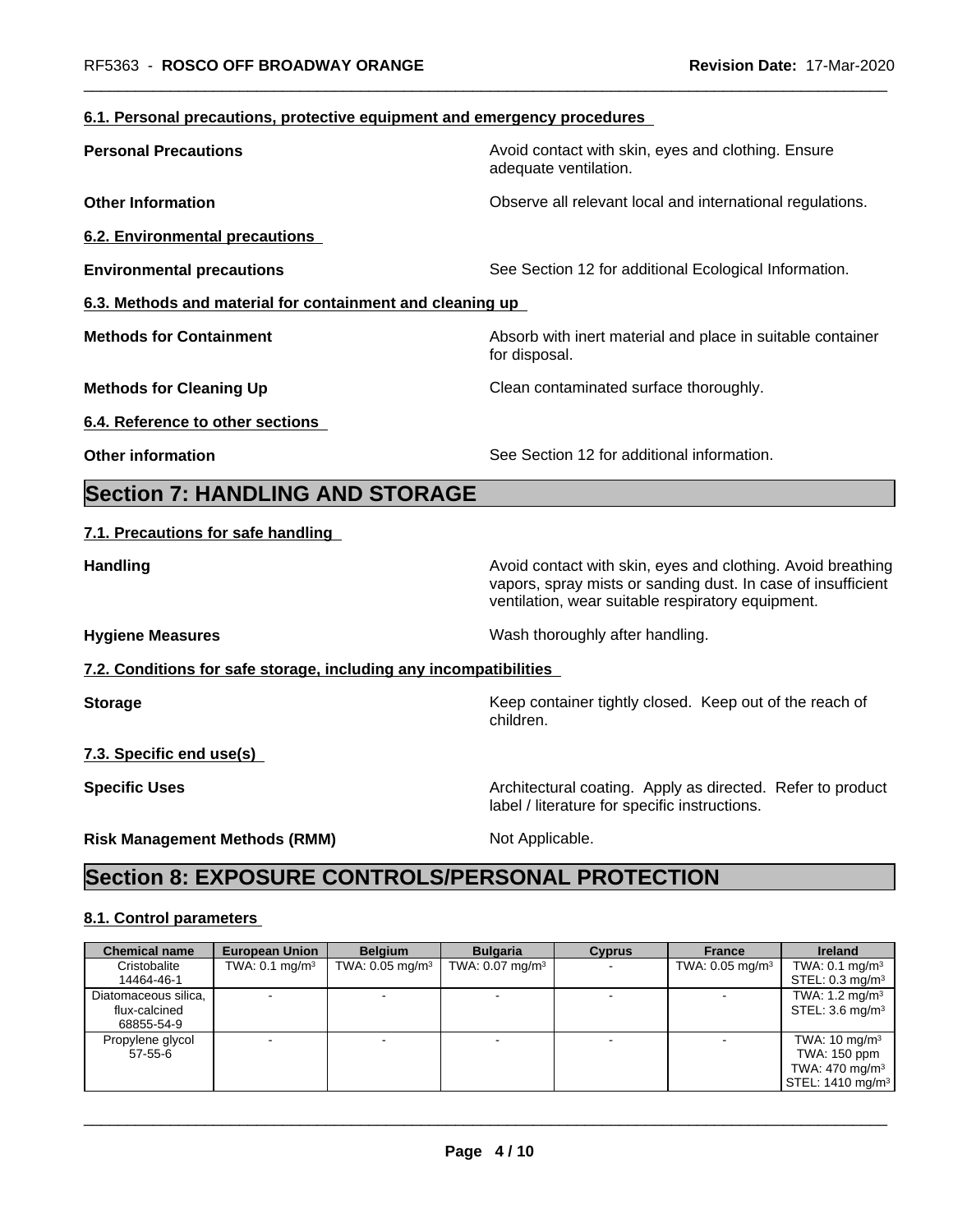## **6.1. Personal precautions, protective equipment and emergency procedures**

| <b>Personal Precautions</b>                                       | Avoid contact with skin, eyes and clothing. Ensure<br>adequate ventilation.                                                                                                      |
|-------------------------------------------------------------------|----------------------------------------------------------------------------------------------------------------------------------------------------------------------------------|
| <b>Other Information</b>                                          | Observe all relevant local and international regulations.                                                                                                                        |
| <b>6.2. Environmental precautions</b>                             |                                                                                                                                                                                  |
| <b>Environmental precautions</b>                                  | See Section 12 for additional Ecological Information.                                                                                                                            |
| 6.3. Methods and material for containment and cleaning up         |                                                                                                                                                                                  |
| <b>Methods for Containment</b>                                    | Absorb with inert material and place in suitable container<br>for disposal.                                                                                                      |
| <b>Methods for Cleaning Up</b>                                    | Clean contaminated surface thoroughly.                                                                                                                                           |
| 6.4. Reference to other sections                                  |                                                                                                                                                                                  |
| <b>Other information</b>                                          | See Section 12 for additional information.                                                                                                                                       |
| <b>Section 7: HANDLING AND STORAGE</b>                            |                                                                                                                                                                                  |
| 7.1. Precautions for safe handling                                |                                                                                                                                                                                  |
| <b>Handling</b>                                                   | Avoid contact with skin, eyes and clothing. Avoid breathing<br>vapors, spray mists or sanding dust. In case of insufficient<br>ventilation, wear suitable respiratory equipment. |
| <b>Hygiene Measures</b>                                           | Wash thoroughly after handling.                                                                                                                                                  |
| 7.2. Conditions for safe storage, including any incompatibilities |                                                                                                                                                                                  |
| <b>Storage</b>                                                    | Keep container tightly closed. Keep out of the reach of<br>children.                                                                                                             |
| 7.3. Specific end use(s)                                          |                                                                                                                                                                                  |
| <b>Specific Uses</b>                                              | Architectural coating. Apply as directed. Refer to product<br>label / literature for specific instructions.                                                                      |

**Risk Management Methods (RMM)** Not Applicable.

# **Section 8: EXPOSURE CONTROLS/PERSONAL PROTECTION**

## **8.1. Control parameters**

| <b>Chemical name</b> | <b>European Union</b>        | <b>Belaium</b>             | <b>Bulgaria</b>               | <b>Cyprus</b> | <b>France</b>              | <b>Ireland</b>                       |
|----------------------|------------------------------|----------------------------|-------------------------------|---------------|----------------------------|--------------------------------------|
| Cristobalite         | TWA: $0.1$ mg/m <sup>3</sup> | TWA: $0.05 \text{ mg/m}^3$ | TWA: $0.07$ mg/m <sup>3</sup> |               | TWA: $0.05 \text{ mg/m}^3$ | TWA: $0.1 \text{ mg/m}^3$            |
| 14464-46-1           |                              |                            |                               |               |                            | STEL: $0.3 \text{ mg/m}^3$           |
| Diatomaceous silica, |                              |                            |                               |               |                            | TWA: $1.2 \text{ mg/m}^3$            |
| flux-calcined        |                              |                            |                               |               |                            | STEL: $3.6 \text{ mg/m}^3$           |
| 68855-54-9           |                              |                            |                               |               |                            |                                      |
| Propylene glycol     |                              |                            |                               |               | $\overline{\phantom{a}}$   | TWA: $10 \text{ mg/m}^3$             |
| $57 - 55 - 6$        |                              |                            |                               |               |                            | TWA: 150 ppm                         |
|                      |                              |                            |                               |               |                            | TWA: $470 \text{ mg/m}^3$            |
|                      |                              |                            |                               |               |                            | $\vert$ STEL: 1410 mg/m <sup>3</sup> |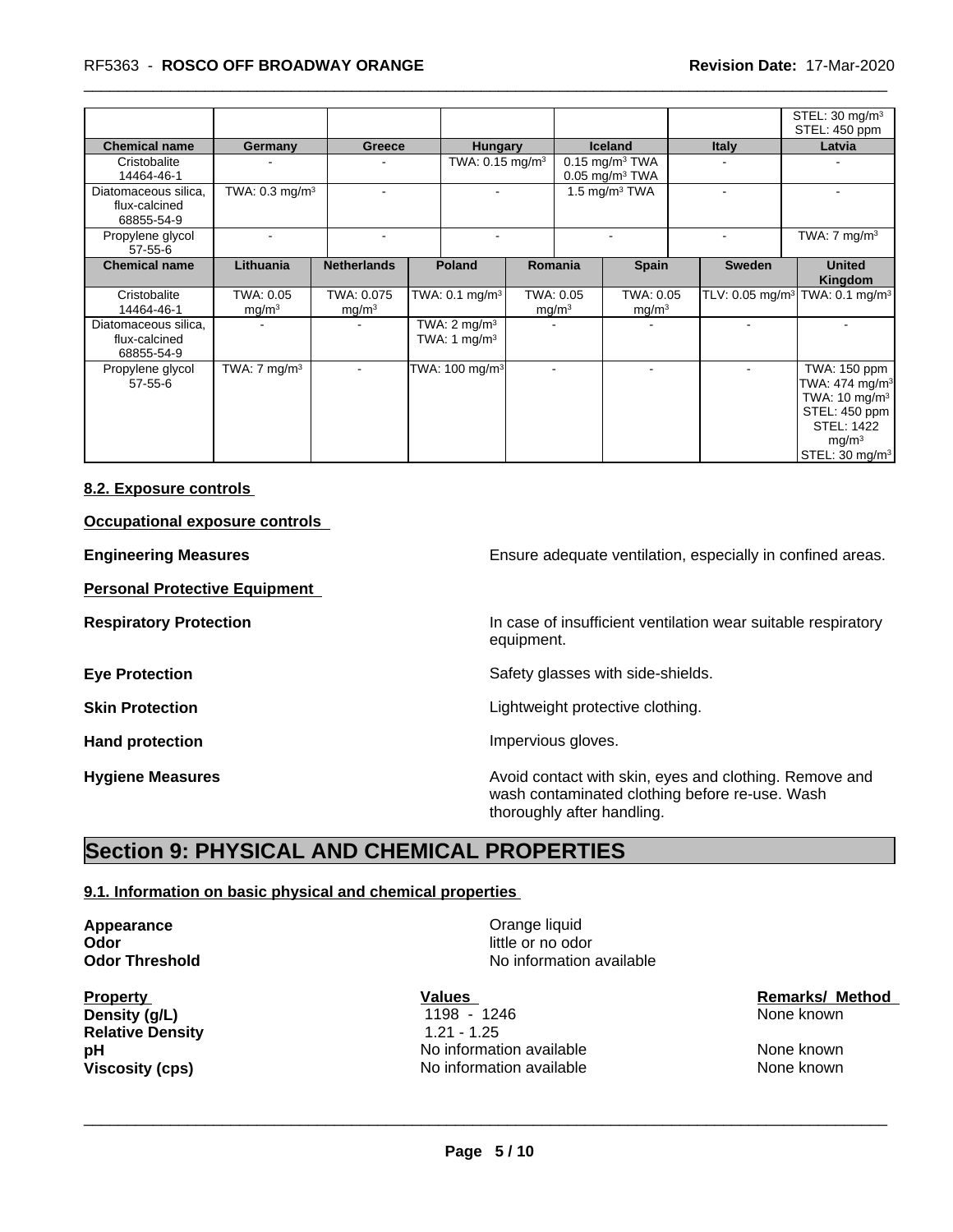## \_\_\_\_\_\_\_\_\_\_\_\_\_\_\_\_\_\_\_\_\_\_\_\_\_\_\_\_\_\_\_\_\_\_\_\_\_\_\_\_\_\_\_\_\_\_\_\_\_\_\_\_\_\_\_\_\_\_\_\_\_\_\_\_\_\_\_\_\_\_\_\_\_\_\_\_\_\_\_\_\_\_\_\_\_\_\_\_\_\_\_\_\_ RF5363 - **ROSCO OFF BROADWAY ORANGE Revision Date:** 17-Mar-2020

|                                                     |                                |                                 |                                                                 |                                |                                                              |              | STEL: $30 \text{ mg/m}^3$<br>STEL: 450 ppm                                                                                                                        |
|-----------------------------------------------------|--------------------------------|---------------------------------|-----------------------------------------------------------------|--------------------------------|--------------------------------------------------------------|--------------|-------------------------------------------------------------------------------------------------------------------------------------------------------------------|
| <b>Chemical name</b>                                | Germany                        | Greece                          | <b>Hungary</b>                                                  |                                | <b>Iceland</b>                                               | <b>Italy</b> | Latvia                                                                                                                                                            |
| Cristobalite<br>14464-46-1                          |                                |                                 | TWA: $0.15$ mg/m <sup>3</sup>                                   |                                | $0.15$ mg/m <sup>3</sup> TWA<br>$0.05$ mg/m <sup>3</sup> TWA |              |                                                                                                                                                                   |
| Diatomaceous silica,<br>flux-calcined<br>68855-54-9 | TWA: $0.3 \text{ mg/m}^3$      |                                 |                                                                 |                                | 1.5 mg/m <sup>3</sup> TWA                                    |              |                                                                                                                                                                   |
| Propylene glycol<br>$57 - 55 - 6$                   |                                | $\blacksquare$                  |                                                                 |                                |                                                              |              | TWA: $7 \text{ mg/m}^3$                                                                                                                                           |
| <b>Chemical name</b>                                | Lithuania                      | <b>Netherlands</b>              | Poland                                                          | Romania                        | <b>Spain</b>                                                 | Sweden       | <b>United</b><br>Kingdom                                                                                                                                          |
| Cristobalite<br>14464-46-1                          | TWA: 0.05<br>mg/m <sup>3</sup> | TWA: 0.075<br>mg/m <sup>3</sup> | TWA: $0.1$ mg/m <sup>3</sup>                                    | TWA: 0.05<br>mg/m <sup>3</sup> | TWA: 0.05<br>mg/m <sup>3</sup>                               |              | TLV: 0.05 mg/m <sup>3</sup> TWA: 0.1 mg/m <sup>3</sup>                                                                                                            |
| Diatomaceous silica,<br>flux-calcined<br>68855-54-9 |                                |                                 | $\overline{\text{TW}}$ A: 2 mg/m <sup>3</sup><br>TWA: 1 $mg/m3$ |                                |                                                              |              |                                                                                                                                                                   |
| Propylene glycol<br>$57 - 55 - 6$                   | TWA: $7 \text{ mg/m}^3$        |                                 | TWA: 100 mg/m <sup>3</sup>                                      |                                |                                                              |              | TWA: 150 ppm<br>TWA: $474$ mg/m <sup>3</sup><br>TWA: $10 \text{ mg/m}^3$<br>STEL: 450 ppm<br><b>STEL: 1422</b><br>mq/m <sup>3</sup><br>STEL: 30 mg/m <sup>3</sup> |

## **8.2. Exposure controls**

## **Occupational exposure controls**

**Personal Protective Equipment**

**Engineering Measures Engineering Measures Engineering Measures Ensure adequate ventilation, especially in confined areas.** 

**Respiratory Protection In case of insufficient ventilation wear suitable respiratory** equipment.

**Eye Protection** Safety glasses with side-shields.

**Skin Protection Skin Protection Lightweight protective clothing.** 

Hand protection **Impervious** gloves.

**Hygiene Measures Avoid contact with skin, eyes and clothing. Remove and Avoid contact with skin, eyes and clothing. Remove and** wash contaminated clothing before re-use. Wash thoroughly after handling.

## **Section 9: PHYSICAL AND CHEMICAL PROPERTIES**

### **9.1. Information on basic physical and chemical properties**

**Appearance Construction Construction Appearance Construction Construction Construction Construction Construction Construction Construction Construction Construction Construction Construction Construction Construction Odor**<br> **Odor Threshold**<br> **Odor Threshold Codor Codor Integrated 
<b>Codor Codor Integrated** 

**Relative Density** 1.21 - 1.25

**No information available** 

 $\overline{\phantom{a}}$  ,  $\overline{\phantom{a}}$  ,  $\overline{\phantom{a}}$  ,  $\overline{\phantom{a}}$  ,  $\overline{\phantom{a}}$  ,  $\overline{\phantom{a}}$  ,  $\overline{\phantom{a}}$  ,  $\overline{\phantom{a}}$  ,  $\overline{\phantom{a}}$  ,  $\overline{\phantom{a}}$  ,  $\overline{\phantom{a}}$  ,  $\overline{\phantom{a}}$  ,  $\overline{\phantom{a}}$  ,  $\overline{\phantom{a}}$  ,  $\overline{\phantom{a}}$  ,  $\overline{\phantom{a}}$ 

**pH** No information available None known **Viscosity (cps)** Noinformation available None known None known

**Property Construction Construction Construction Values Construction Construction Construction Construction Construction Construction Construction Construction Construction Construction Construction Construction Constructi Density (g/L)** 1198 - 1246 None known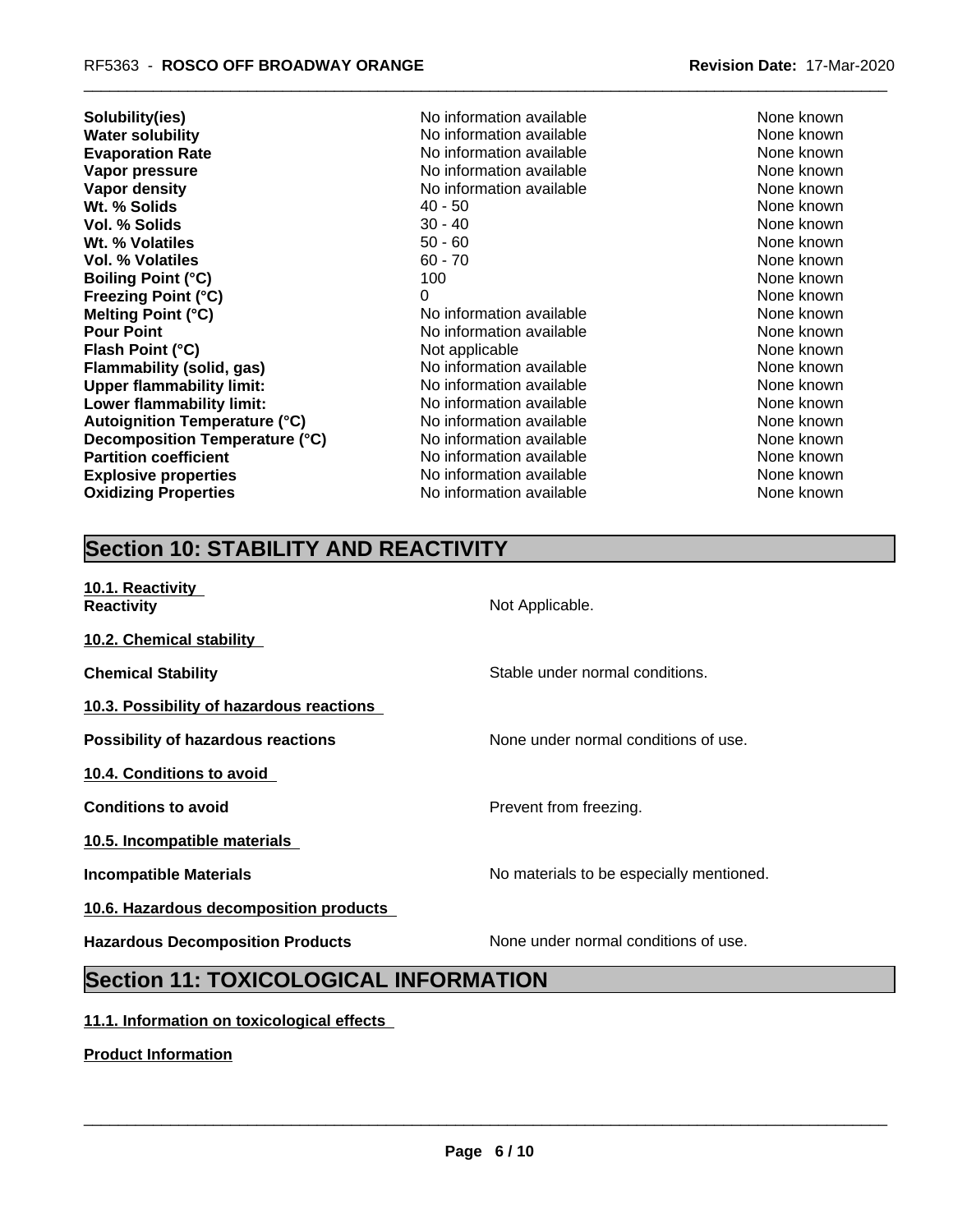| Solubility(ies)                      | No information available | None known |
|--------------------------------------|--------------------------|------------|
| <b>Water solubility</b>              | No information available | None known |
| <b>Evaporation Rate</b>              | No information available | None known |
| Vapor pressure                       | No information available | None known |
| Vapor density                        | No information available | None known |
| Wt. % Solids                         | $40 - 50$                | None known |
| Vol. % Solids                        | $30 - 40$                | None known |
| Wt. % Volatiles                      | $50 - 60$                | None known |
| <b>Vol. % Volatiles</b>              | $60 - 70$                | None known |
| <b>Boiling Point (°C)</b>            | 100                      | None known |
| <b>Freezing Point (°C)</b>           | 0                        | None known |
| <b>Melting Point (°C)</b>            | No information available | None known |
| <b>Pour Point</b>                    | No information available | None known |
| Flash Point (°C)                     | Not applicable           | None known |
| <b>Flammability (solid, gas)</b>     | No information available | None known |
| <b>Upper flammability limit:</b>     | No information available | None known |
| Lower flammability limit:            | No information available | None known |
| <b>Autoignition Temperature (°C)</b> | No information available | None known |
| Decomposition Temperature (°C)       | No information available | None known |
| <b>Partition coefficient</b>         | No information available | None known |
| <b>Explosive properties</b>          | No information available | None known |
| <b>Oxidizing Properties</b>          | No information available | None known |
|                                      |                          |            |

# **Section 10: STABILITY AND REACTIVITY**

| 10.1. Reactivity<br><b>Reactivity</b>        | Not Applicable.                          |  |  |  |
|----------------------------------------------|------------------------------------------|--|--|--|
| 10.2. Chemical stability                     |                                          |  |  |  |
| <b>Chemical Stability</b>                    | Stable under normal conditions.          |  |  |  |
| 10.3. Possibility of hazardous reactions     |                                          |  |  |  |
| Possibility of hazardous reactions           | None under normal conditions of use.     |  |  |  |
| 10.4. Conditions to avoid                    |                                          |  |  |  |
| <b>Conditions to avoid</b>                   | Prevent from freezing.                   |  |  |  |
| 10.5. Incompatible materials                 |                                          |  |  |  |
| <b>Incompatible Materials</b>                | No materials to be especially mentioned. |  |  |  |
| 10.6. Hazardous decomposition products       |                                          |  |  |  |
| <b>Hazardous Decomposition Products</b>      | None under normal conditions of use.     |  |  |  |
| <b>Section 11: TOXICOLOGICAL INFORMATION</b> |                                          |  |  |  |

## **11.1. Information on toxicological effects**

**Product Information**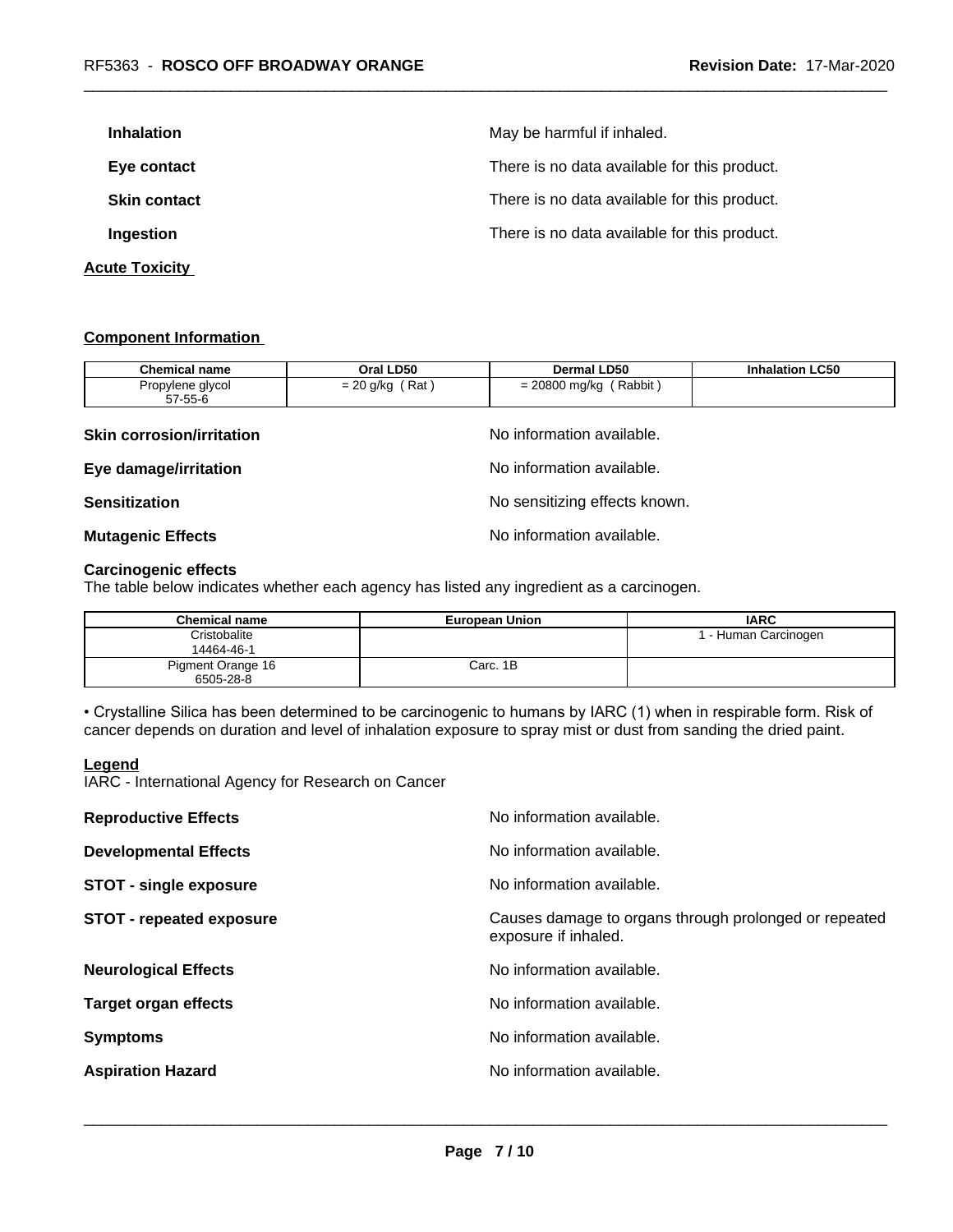| <b>Inhalation</b>     | May be harmful if inhaled.                   |
|-----------------------|----------------------------------------------|
| Eye contact           | There is no data available for this product. |
| <b>Skin contact</b>   | There is no data available for this product. |
| Ingestion             | There is no data available for this product. |
| <b>Acute Toxicity</b> |                                              |

## **Component Information**

| <b>Chemical name</b>             | Oral LD50                     | <b>Dermal LD50</b>        | <b>Inhalation LC50</b> |  |  |
|----------------------------------|-------------------------------|---------------------------|------------------------|--|--|
| Propylene glycol<br>57-55-6      | $= 20$ g/kg (Rat)             | $= 20800$ mg/kg (Rabbit)  |                        |  |  |
| <b>Skin corrosion/irritation</b> |                               | No information available. |                        |  |  |
| Eye damage/irritation            | No information available.     |                           |                        |  |  |
| <b>Sensitization</b>             | No sensitizing effects known. |                           |                        |  |  |
| <b>Mutagenic Effects</b>         |                               | No information available. |                        |  |  |

## **Carcinogenic effects**

The table below indicates whether each agency has listed any ingredient as a carcinogen.

| <b>Chemical name</b> | <b>European Union</b> | <b>IARC</b>          |
|----------------------|-----------------------|----------------------|
| Cristobalite         |                       | I - Human Carcinogen |
| 14464-46-1           |                       |                      |
| Pigment Orange 16    | Carc. 1B              |                      |
| 6505-28-8            |                       |                      |

• Crystalline Silica has been determined to be carcinogenic to humans by IARC (1) when in respirable form. Risk of cancer depends on duration and level of inhalation exposure to spray mist or dust from sanding the dried paint.

## **Legend**

IARC - International Agency for Research on Cancer

| <b>Reproductive Effects</b>     | No information available.                                                     |
|---------------------------------|-------------------------------------------------------------------------------|
| <b>Developmental Effects</b>    | No information available.                                                     |
| <b>STOT - single exposure</b>   | No information available.                                                     |
| <b>STOT - repeated exposure</b> | Causes damage to organs through prolonged or repeated<br>exposure if inhaled. |
| <b>Neurological Effects</b>     | No information available.                                                     |
| <b>Target organ effects</b>     | No information available.                                                     |
| <b>Symptoms</b>                 | No information available.                                                     |
| <b>Aspiration Hazard</b>        | No information available.                                                     |
|                                 |                                                                               |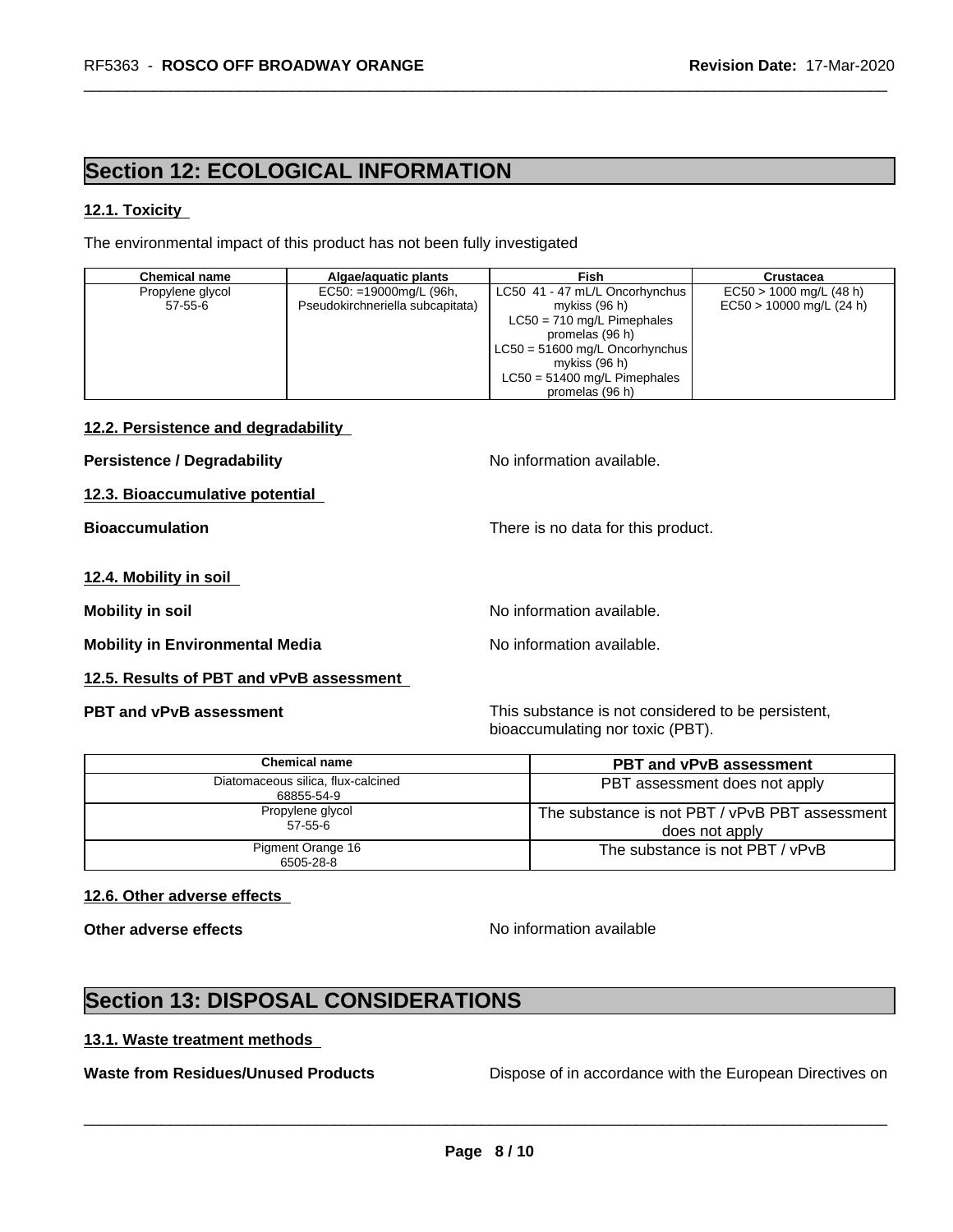# **Section 12: ECOLOGICAL INFORMATION**

## **12.1. Toxicity**

The environmental impact of this product has not been fully investigated

| <b>Chemical name</b> | Algae/aquatic plants             | Fish                             | Crustacea                  |
|----------------------|----------------------------------|----------------------------------|----------------------------|
| Propylene glycol     | $EC50: =19000mg/L (96h,$         | LC50 41 - 47 mL/L Oncorhynchus   | $EC50 > 1000$ mg/L (48 h)  |
| $57 - 55 - 6$        | Pseudokirchneriella subcapitata) | mykiss (96 h)                    | $EC50 > 10000$ mg/L (24 h) |
|                      |                                  | $LC50 = 710$ mg/L Pimephales     |                            |
|                      |                                  | promelas (96 h)                  |                            |
|                      |                                  | $LC50 = 51600$ mg/L Oncorhynchus |                            |
|                      |                                  | mykiss (96 h)                    |                            |
|                      |                                  | $LC50 = 51400$ mg/L Pimephales   |                            |
|                      |                                  | promelas (96 h)                  |                            |

## **12.2. Persistence and degradability**

**Persistence / Degradability No information available.** 

**12.3. Bioaccumulative potential**

**Bioaccumulation** There is no data for this product.

## **12.4. Mobility in soil**

**Mobility** in soil **Mobility** in soil

**Mobility** in Environmental Media North available.

## **12.5. Results of PBT and vPvB assessment**

**PBT and vPvB assessment** This substance is not considered to be persistent, bioaccumulating nor toxic (PBT).

| Chemical name                                    | <b>PBT and vPvB assessment</b>                                   |
|--------------------------------------------------|------------------------------------------------------------------|
| Diatomaceous silica, flux-calcined<br>68855-54-9 | PBT assessment does not apply                                    |
| Propylene glycol<br>57-55-6                      | The substance is not PBT / vPvB PBT assessment<br>does not apply |
| Pigment Orange 16<br>6505-28-8                   | The substance is not PBT / vPvB                                  |

## **12.6. Other adverse effects**

**Other adverse effects** No information available

 $\overline{\phantom{a}}$  ,  $\overline{\phantom{a}}$  ,  $\overline{\phantom{a}}$  ,  $\overline{\phantom{a}}$  ,  $\overline{\phantom{a}}$  ,  $\overline{\phantom{a}}$  ,  $\overline{\phantom{a}}$  ,  $\overline{\phantom{a}}$  ,  $\overline{\phantom{a}}$  ,  $\overline{\phantom{a}}$  ,  $\overline{\phantom{a}}$  ,  $\overline{\phantom{a}}$  ,  $\overline{\phantom{a}}$  ,  $\overline{\phantom{a}}$  ,  $\overline{\phantom{a}}$  ,  $\overline{\phantom{a}}$ 

# **Section 13: DISPOSAL CONSIDERATIONS**

## **13.1. Waste treatment methods**

**Waste from Residues/Unused Products** Dispose of in accordance with the European Directives on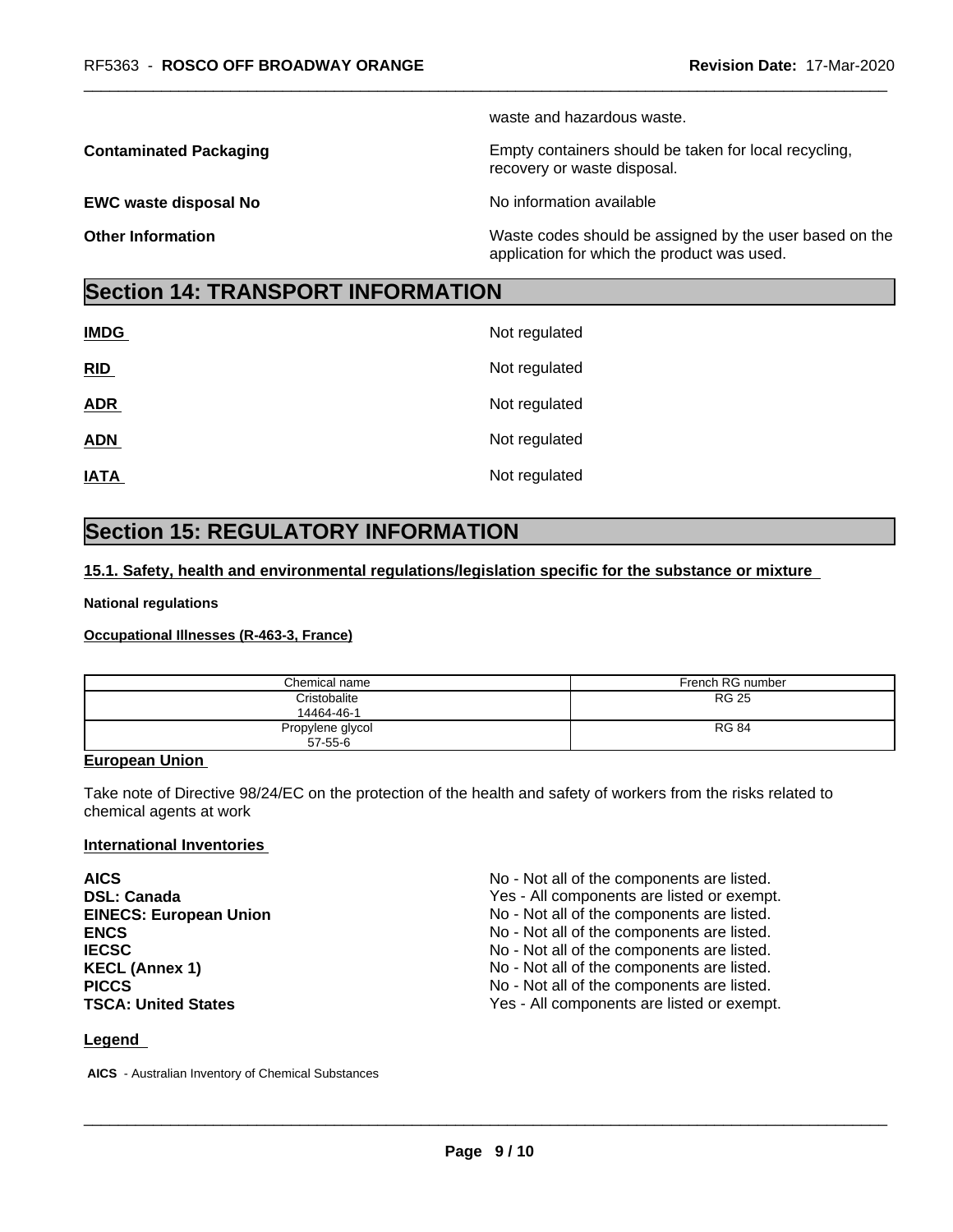waste and hazardous waste.

**Contaminated Packaging <b>Empty Containers** should be taken for local recycling,

**EWC waste disposal No No information available EWC** waste disposal No

recovery or waste disposal.

**Other Information** Waste codes should be assigned by the user based on the application for which the product was used.

## **Section 14: TRANSPORT INFORMATION**

| <b>IMDG</b> | Not regulated |
|-------------|---------------|
| RID         | Not regulated |
| <b>ADR</b>  | Not regulated |
| <b>ADN</b>  | Not regulated |
| <b>IATA</b> | Not regulated |

# **Section 15: REGULATORY INFORMATION**

## **15.1. Safety, health and environmental regulations/legislation specific for the substance or mixture**

## **National regulations**

## **Occupational Illnesses (R-463-3, France)**

| Chemical name                     | French RG number |
|-----------------------------------|------------------|
| Cristobalite<br>14464-46-1        | <b>RG 25</b>     |
| Propylene glycol<br>$57 - 55 - 6$ | <b>RG 84</b>     |

## **European Union**

Take note of Directive 98/24/EC on the protection of the health and safety of workers from the risks related to chemical agents at work

## **International Inventories**

| <b>AICS</b>                   | No - Not all of the components are listed. |
|-------------------------------|--------------------------------------------|
| <b>DSL: Canada</b>            | Yes - All components are listed or exempt. |
| <b>EINECS: European Union</b> | No - Not all of the components are listed. |
| <b>ENCS</b>                   | No - Not all of the components are listed. |
| <b>IECSC</b>                  | No - Not all of the components are listed. |
| <b>KECL (Annex 1)</b>         | No - Not all of the components are listed. |
| <b>PICCS</b>                  | No - Not all of the components are listed. |
| <b>TSCA: United States</b>    | Yes - All components are listed or exempt. |

## **Legend**

 **AICS** - Australian Inventory of Chemical Substances